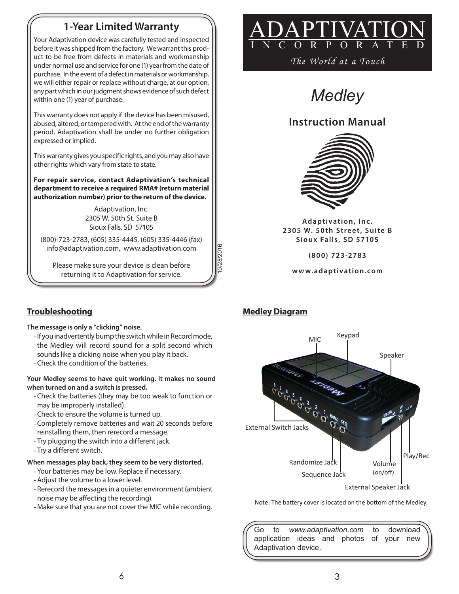# **1-Year Limited Warranty**

Your Adaptivation device was carefully tested and inspected before it was shipped from the factory. We warrant this product to be free from defects in materials and workmanship under normal use and service for one (1) year from the date of purchase. In the event of a defect in materials or workmanship, we will either repair or replace without charge, at our option, any part which in our judgment shows evidence of such defect within one (1) year of purchase.

This warranty does not apply if the device has been misused, abused, altered, or tampered with. At the end of the warranty period, Adaptivation shall be under no further obligation expressed or implied.

This warranty gives you specific rights, and you may also have other rights which vary from state to state.

**For repair service, contact Adaptivation's technical department to receive a required RMA# (return material authorization number) prior to the return of the device.**

> Adaptivation, Inc. 2305 W. 50th St. Suite B Sioux Falls, SD 57105

(800)-723-2783, (605) 335-4445, (605) 335-4446 (fax) info@adaptivation.com, www.adaptivation.com

Please make sure your device is clean before returning it to Adaptivation for service.



*The World at a Touch*

*Medley*

# **Instruction Manual**



Adaptivation, Inc. 2305 W. 50th Street, Suite B **Siou x Falls , SD 57105**

**(8 0 0) 723 -2783**

**w w w. adap tivation .com**

10/28/2016

28/2016



Note: The battery cover is located on the bottom of the Medley.

Go to *www.adaptivation.com* to download application ideas and photos of your new Adaptivation device.

## **Troubleshooting Medley Diagram**

#### **The message is only a "clicking" noise.**

- -If you inadvertently bump the switch while in Record mode, the Medley will record sound for a split second which sounds like a clicking noise when you play it back.
- -Check the condition of the batteries.

#### **Your Medley seems to have quit working. It makes no sound when turned on and a switch is pressed.**

- -Check the batteries (they may be too weak to function or may be improperly installed).
- -Check to ensure the volume is turned up.
- -Completely remove batteries and wait 20 seconds before reinstalling them, then rerecord a message.
- -Try plugging the switch into a different jack.
- -Try a different switch.

### **When messages play back, they seem to be very distorted.**

- -Your batteries may be low. Replace if necessary.
- -Adjust the volume to a lower level.
- -Rerecord the messages in a quieter environment (ambient noise may be affecting the recording).
- -Make sure that you are not cover the MIC while recording.